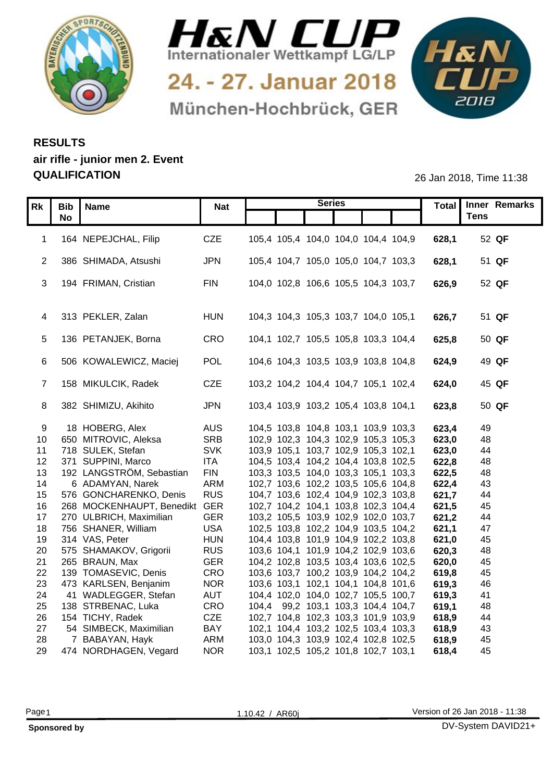



24. - 27. Januar 2018 München-Hochbrück, GER



## **RESULTS air rifle - junior men 2. Event QUALIFICATION** 26 Jan 2018, Time 11:38

|    | $\overline{RK}$ Bib   Name<br><b>No</b>                       | <b>Nat</b> |                                     | <b>Series</b> |                                                                            |                | Total   Inner Remarks<br><b>Tens</b> |
|----|---------------------------------------------------------------|------------|-------------------------------------|---------------|----------------------------------------------------------------------------|----------------|--------------------------------------|
|    |                                                               |            |                                     |               |                                                                            |                |                                      |
|    | 1 164 NEPEJCHAL, Filip                                        | CZE        |                                     |               | 105,4 105,4 104,0 104,0 104,4 104,9                                        | 628,1          | 52 QF                                |
|    | 2 386 SHIMADA, Atsushi                                        | JPN        |                                     |               | 105,4 104,7 105,0 105,0 104,7 103,3                                        | 628,1          | 51 QF                                |
|    |                                                               |            |                                     |               |                                                                            |                |                                      |
|    | 3 194 FRIMAN, Cristian                                        | <b>FIN</b> |                                     |               | 104,0 102,8 106,6 105,5 104,3 103,7                                        | 626,9          | 52 QF                                |
|    |                                                               |            |                                     |               |                                                                            |                |                                      |
|    | 4 313 PEKLER, Zalan                                           | <b>HUN</b> |                                     |               | 104,3 104,3 105,3 103,7 104,0 105,1                                        | 626,7          | 51 QF                                |
|    |                                                               |            |                                     |               |                                                                            |                |                                      |
|    | 5 136 PETANJEK, Borna                                         | CRO        |                                     |               | 104,1 102,7 105,5 105,8 103,3 104,4                                        | 625,8          | 50 QF                                |
|    |                                                               |            |                                     |               |                                                                            |                |                                      |
|    | 6 506 KOWALEWICZ, Maciej                                      | POL        |                                     |               | 104,6 104,3 103,5 103,9 103,8 104,8                                        | 624,9          | 49 QF                                |
|    |                                                               |            |                                     |               |                                                                            |                |                                      |
|    | 7 158 MIKULCIK, Radek                                         | CZE        |                                     |               | 103,2 104,2 104,4 104,7 105,1 102,4                                        | 624,0          | 45 QF                                |
|    | 8 382 SHIMIZU, Akihito                                        | <b>JPN</b> |                                     |               | 103,4 103,9 103,2 105,4 103,8 104,1                                        | 623,8          | 50 QF                                |
|    |                                                               |            |                                     |               |                                                                            |                |                                      |
|    | 18 HOBERG, Alex                                               | <b>AUS</b> |                                     |               | 104,5 103,8 104,8 103,1 103,9 103,3                                        | 623,4          | 49                                   |
|    | 10 650 MITROVIC, Aleksa                                       | <b>SRB</b> |                                     |               | 102,9 102,3 104,3 102,9 105,3 105,3                                        | 623,0          | 48                                   |
|    | 11 718 SULEK, Stefan                                          | <b>SVK</b> |                                     |               | 103,9 105,1 103,7 102,9 105,3 102,1                                        | 623,0          | 44                                   |
|    | 12 371 SUPPINI, Marco                                         | <b>ITA</b> |                                     |               | 104,5 103,4 104,2 104,4 103,8 102,5                                        | 622,8          | 48                                   |
|    | 13 192 LANGSTRÖM, Sebastian                                   | <b>FIN</b> | 103,3 103,5 104,0 103,3 105,1 103,3 |               |                                                                            | 622,5          | 48                                   |
| 14 | 6 ADAMYAN, Narek                                              | <b>ARM</b> | 102,7 103,6 102,2 103,5 105,6 104,8 |               |                                                                            | 622,4          | 43                                   |
|    | 15 576 GONCHARENKO, Denis<br>16 268 MOCKENHAUPT, Benedikt GER | <b>RUS</b> | 104,7 103,6 102,4 104,9 102,3 103,8 |               |                                                                            | 621,7<br>621,5 | 44                                   |
|    | 17 270 ULBRICH, Maximilian                                    | <b>GER</b> |                                     |               | 102,7 104,2 104,1 103,8 102,3 104,4<br>103,2 105,5 103,9 102,9 102,0 103,7 | 621,2          | 45<br>44                             |
|    | 18 756 SHANER, William                                        | <b>USA</b> |                                     |               | 102,5 103,8 102,2 104,9 103,5 104,2                                        | 621,1          | 47                                   |
|    | 19 314 VAS, Peter                                             | <b>HUN</b> | 104,4 103,8 101,9 104,9 102,2 103,8 |               |                                                                            | 621,0          | 45                                   |
|    | 20 575 SHAMAKOV, Grigorii                                     | <b>RUS</b> |                                     |               | 103,6 104,1 101,9 104,2 102,9 103,6                                        | 620,3          | 48                                   |
|    | 21  265  BRAUN, Max                                           | <b>GER</b> |                                     |               | 104,2 102,8 103,5 103,4 103,6 102,5                                        | 620,0          | 45                                   |
|    | 22 139 TOMASEVIC, Denis                                       | CRO        |                                     |               | 103,6 103,7 100,2 103,9 104,2 104,2                                        | 619,8          | 45                                   |
|    | 23 473 KARLSEN, Benjanim                                      | <b>NOR</b> |                                     |               | 103,6 103,1 102,1 104,1 104,8 101,6                                        | 619,3          | 46                                   |
|    | 24 41 WADLEGGER, Stefan                                       | <b>AUT</b> |                                     |               | 104,4 102,0 104,0 102,7 105,5 100,7                                        | 619,3          | 41                                   |
|    | 25 138 STRBENAC, Luka                                         | CRO        | 104,4 99,2 103,1 103,3 104,4 104,7  |               |                                                                            | 619,1          | 48                                   |
|    | 26 154 TICHY, Radek                                           | <b>CZE</b> |                                     |               | 102,7 104,8 102,3 103,3 101,9 103,9                                        | 618,9          | 44                                   |
| 27 | 54 SIMBECK, Maximilian                                        | <b>BAY</b> |                                     |               | 102,1 104,4 103,2 102,5 103,4 103,3                                        | 618.9          | 43                                   |
| 28 | 7 BABAYAN, Hayk                                               | ARM        |                                     |               | 103,0 104,3 103,9 102,4 102,8 102,5                                        | 618,9          | 45                                   |
|    | 29 474 NORDHAGEN, Vegard                                      | <b>NOR</b> |                                     |               | 103,1 102,5 105,2 101,8 102,7 103,1                                        | 618,4          | -45                                  |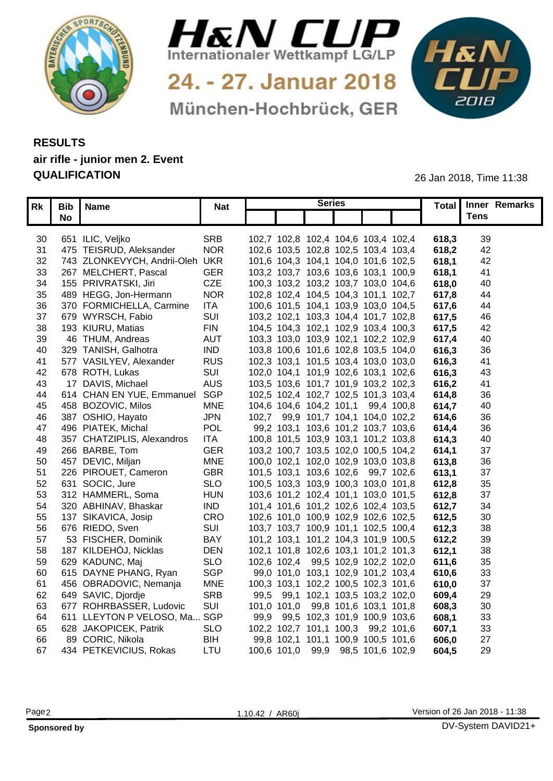



24. - 27. Januar 2018 München-Hochbrück, GER



## **RESULTS air rifle - junior men 2. Event QUALIFICATION** 26 Jan 2018, Time 11:38

|    | Rk   Bib   Name      |                                 | <b>Nat</b> | <b>Series</b>                       |  | Total | Inner Remarks |
|----|----------------------|---------------------------------|------------|-------------------------------------|--|-------|---------------|
|    | <b>No</b>            |                                 |            |                                     |  |       | <b>Tens</b>   |
|    |                      |                                 |            |                                     |  |       |               |
| 30 | 651 ILIC, Veljko     |                                 | <b>SRB</b> | 102,7 102,8 102,4 104,6 103,4 102,4 |  | 618,3 | 39            |
| 31 |                      | 475 TEISRUD, Aleksander         | <b>NOR</b> | 102,6 103,5 102,8 102,5 103,4 103,4 |  | 618,2 | 42            |
| 32 |                      | 743 ZLONKEVYCH, Andrii-Oleh UKR |            | 101,6 104,3 104,1 104,0 101,6 102,5 |  | 618,  | 42            |
| 33 |                      | 267 MELCHERT, Pascal            | <b>GER</b> | 103,2 103,7 103,6 103,6 103,1 100,9 |  | 618,  | -41           |
| 34 |                      | 155 PRIVRATSKI, Jiri            | <b>CZE</b> | 100,3 103,2 103,2 103,7 103,0 104,6 |  | 618,0 | 40            |
| 35 |                      | 489 HEGG, Jon-Hermann           | <b>NOR</b> | 102,8 102,4 104,5 104,3 101,1 102,7 |  | 617,8 | 44            |
| 36 |                      | 370 FORMICHELLA, Carmine        | <b>ITA</b> | 100,6 101,5 104,1 103,9 103,0 104,5 |  | 617,6 | 44            |
|    |                      | 37 679 WYRSCH, Fabio            | SUI        | 103,2 102,1 103,3 104,4 101,7 102,8 |  | 617,5 | -46           |
|    |                      | 38 193 KIURU, Matias            | <b>FIN</b> | 104,5 104,3 102,1 102,9 103,4 100,3 |  | 617,5 | -42           |
| 39 |                      | 46 THUM, Andreas                | <b>AUT</b> | 103,3 103,0 103,9 102,1 102,2 102,9 |  | 617,4 | 40            |
| 40 |                      | 329 TANISH, Galhotra            | <b>IND</b> | 103,8 100,6 101,6 102,8 103,5 104,0 |  | 616,3 | 36            |
|    |                      | 41 577 VASILYEV, Alexander      | <b>RUS</b> | 102,3 103,1 101,5 103,4 103,0 103,0 |  | 616,3 | 41            |
|    | 42 678 ROTH, Lukas   |                                 | SUI        | 102,0 104,1 101,9 102,6 103,1 102,6 |  | 616,3 | -43           |
| 43 |                      | 17 DAVIS, Michael               | <b>AUS</b> | 103,5 103,6 101,7 101,9 103,2 102,3 |  | 616,2 | -41           |
| 44 |                      | 614 CHAN EN YUE, Emmanuel SGP   |            | 102,5 102,4 102,7 102,5 101,3 103,4 |  | 614,8 | 36            |
|    |                      | 45 458 BOZOVIC, Milos           | <b>MNE</b> | 104,6 104,6 104,2 101,1 99,4 100,8  |  | 614,7 | 40            |
|    |                      | 46 387 OSHIO, Hayato            | <b>JPN</b> | 102,7 99,9 101,7 104,1 104,0 102,2  |  | 614,6 | 36            |
|    |                      | 47 496 PIATEK, Michal           | POL        | 99,2 103,1 103,6 101,2 103,7 103,6  |  | 614,4 | 36            |
| 48 |                      | 357 CHATZIPLIS, Alexandros      | <b>ITA</b> | 100,8 101,5 103,9 103,1 101,2 103,8 |  | 614.3 | -40           |
| 49 |                      | 266 BARBE, Tom                  | <b>GER</b> | 103,2 100,7 103,5 102,0 100,5 104,2 |  | 614,7 | 37            |
|    | 50 457 DEVIC, Miljan |                                 | <b>MNE</b> | 100,0 102,1 102,0 102,9 103,0 103,8 |  | 613,8 | 36            |
|    |                      | 51 226 PIROUET, Cameron         | GBR        | 101,5 103,1 103,6 102,6 99,7 102,6  |  | 613,7 | 37            |
|    | 52 631 SOCIC, Jure   |                                 | <b>SLO</b> | 100,5 103,3 103,9 100,3 103,0 101,8 |  | 612,8 | 35            |
|    |                      | 53 312 HAMMERL, Soma            | <b>HUN</b> | 103,6 101,2 102,4 101,1 103,0 101,5 |  | 612,8 | 37            |
| 54 |                      | 320 ABHINAV, Bhaskar            | <b>IND</b> | 101,4 101,6 101,2 102,6 102,4 103,5 |  | 612,7 | 34            |
| 55 |                      | 137 SIKAVICA, Josip             | CRO        | 102,6 101,0 100,9 102,9 102,6 102,5 |  | 612,5 | 30            |
|    | 56 676 RIEDO, Sven   |                                 | SUI        | 103,7 103,7 100,9 101,1 102,5 100,4 |  | 612,3 | 38            |
| 57 |                      | 53 FISCHER, Dominik             | <b>BAY</b> | 101,2 103,1 101,2 104,3 101,9 100,5 |  | 612,2 | 39            |
| 58 |                      | 187 KILDEHÖJ, Nicklas           | <b>DEN</b> | 102,1 101,8 102,6 103,1 101,2 101,3 |  | 612,  | 38            |
| 59 |                      | 629 KADUNC, Maj                 | <b>SLO</b> | 102,6 102,4 99,5 102,9 102,2 102,0  |  | 611,6 | 35            |
| 60 |                      | 615 DAYNE PHANG, Ryan           | <b>SGP</b> | 99,0 101,0 103,1 102,9 101,2 103,4  |  | 610,6 | 33            |
| 61 |                      | 456 OBRADOVIC, Nemanja          | <b>MNE</b> | 100,3 103,1 102,2 100,5 102,3 101,6 |  | 610,0 | 37            |
|    |                      | 62 649 SAVIC, Djordje           | <b>SRB</b> | 99,5 99,1 102,1 103,5 103,2 102,0   |  | 609,4 | 29            |
| 63 |                      | 677 ROHRBASSER, Ludovic         | SUI        | 101,0 101,0 99,8 101,6 103,1 101,8  |  | 608,  | 30            |
| 64 |                      | 611 LLEYTON P VELOSO, Ma SGP    |            | 99,9 99,5 102,3 101,9 100,9 103,6   |  | 608,  | 33            |
| 65 |                      | 628 JAKOPICEK, Patrik           | <b>SLO</b> | 102,2 102,7 101,1 100,3 99,2 101,6  |  | 607,  | 33            |
| 66 |                      | 89 CORIC, Nikola                | <b>BIH</b> | 99,8 102,1 101,1 100,9 100,5 101,6  |  | 606,0 | 27            |
|    |                      | 67 434 PETKEVICIUS, Rokas       | LTU        | 100,6 101,0 99,9 98,5 101,6 102,9   |  | 604,5 | 29            |